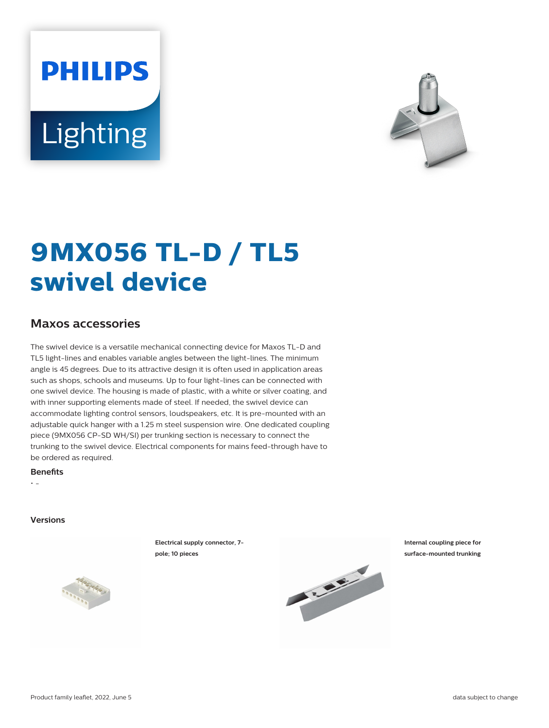# **PHILIPS** Lighting



# **9MX056 TL-D / TL5 swivel device**

# **Maxos accessories**

The swivel device is a versatile mechanical connecting device for Maxos TL-D and TL5 light-lines and enables variable angles between the light-lines. The minimum angle is 45 degrees. Due to its attractive design it is often used in application areas such as shops, schools and museums. Up to four light-lines can be connected with one swivel device. The housing is made of plastic, with a white or silver coating, and with inner supporting elements made of steel. If needed, the swivel device can accommodate lighting control sensors, loudspeakers, etc. It is pre-mounted with an adjustable quick hanger with a 1.25 m steel suspension wire. One dedicated coupling piece (9MX056 CP-SD WH/SI) per trunking section is necessary to connect the trunking to the swivel device. Electrical components for mains feed-through have to be ordered as required.

#### **Benets**

• -

#### **Versions**

**Electrical supply connector, 7 pole; 10 pieces**





**Internal coupling piece for surface-mounted trunking**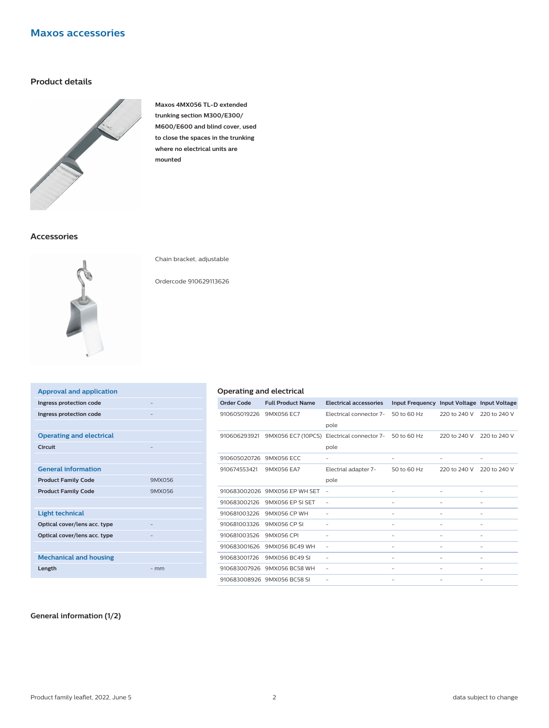# **Maxos accessories**

## **Product details**



**Maxos 4MX056 TL-D extended trunking section M300/E300/ M600/E600 and blind cover, used to close the spaces in the trunking where no electrical units are mounted**

### **Accessories**



Chain bracket, adjustable

Ordercode 910629113626

| <b>Approval and application</b> |        |
|---------------------------------|--------|
| Ingress protection code         | -      |
| Ingress protection code         |        |
|                                 |        |
| <b>Operating and electrical</b> |        |
| Circuit                         |        |
|                                 |        |
| <b>General information</b>      |        |
| <b>Product Family Code</b>      | 9MX056 |
| <b>Product Family Code</b>      | 9MX056 |
|                                 |        |
| <b>Light technical</b>          |        |
| Optical cover/lens acc. type    |        |
| Optical cover/lens acc. type    |        |
|                                 |        |
| <b>Mechanical and housing</b>   |        |
| Length                          | $-$ mm |
|                                 |        |

#### **Operating and electrical**

| <b>Order Code</b> | <b>Full Product Name</b>    | <b>Electrical accessories</b> | <b>Input Frequency</b>   |                   | Input Voltage Input Voltage |
|-------------------|-----------------------------|-------------------------------|--------------------------|-------------------|-----------------------------|
| 910605019226      | 9MX056 EC7                  | Electrical connector 7-       | 50 to 60 Hz              | 220 to 240 V      | 220 to 240 V                |
|                   |                             | pole                          |                          |                   |                             |
| 910606293921      | 9MX056 EC7 (10PCS)          | Electrical connector 7-       | 50 to 60 Hz              | 220 to 240 V      | 220 to 240 V                |
|                   |                             | pole                          |                          |                   |                             |
| 910605020726      | 9MX056 ECC                  | $\qquad \qquad -$             | $\overline{\phantom{0}}$ | $\qquad \qquad -$ | $\qquad \qquad -$           |
| 910674553421      | 9MX056 EA7                  | Electrial adapter 7-          | 50 to 60 Hz              | 220 to 240 V      | 220 to 240 V                |
|                   |                             | pole                          |                          |                   |                             |
| 910683002026      | 9MX056 FP WH SET            | $\overline{\phantom{a}}$      | -                        | ٠                 |                             |
| 910683002126      | 9MX056 FP SLSET             | $\overline{\phantom{a}}$      | -                        |                   |                             |
| 910681003226      | 9MX056 CP WH                | $\overline{\phantom{a}}$      | $\overline{\phantom{0}}$ | $\qquad \qquad -$ | -                           |
| 910681003326      | 9MX056 CP SI                |                               | -                        |                   |                             |
| 910681003526      | 9MX056 CPI                  |                               |                          |                   |                             |
| 910683001626      | 9MX056 BC49 WH              | $\qquad \qquad -$             | -                        | -                 |                             |
| 910683001726      | 9MX056 BC49 SI              |                               | -                        |                   |                             |
| 910683007926      | 9MX056 BC58 WH              | $\qquad \qquad -$             | -                        | -                 |                             |
|                   | 910683008926 9MX056 BC58 SL |                               |                          |                   |                             |

#### **General information (1/2)**